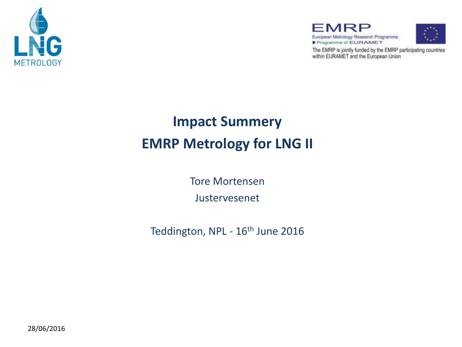

FMRP European Metrology Research Programme Programme of EURAMET



The EMRP is jointly funded by the EMRP participating countries within EURAMET and the European Union

### **Impact Summery EMRP Metrology for LNG II**

Tore Mortensen Justervesenet

Teddington, NPL - 16<sup>th</sup> June 2016

28/06/2016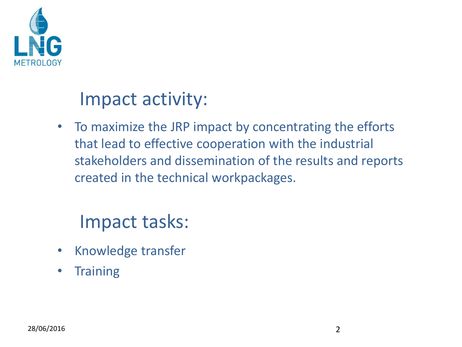

## Impact activity:

• To maximize the JRP impact by concentrating the efforts that lead to effective cooperation with the industrial stakeholders and dissemination of the results and reports created in the technical workpackages.

# Impact tasks:

- Knowledge transfer
- Training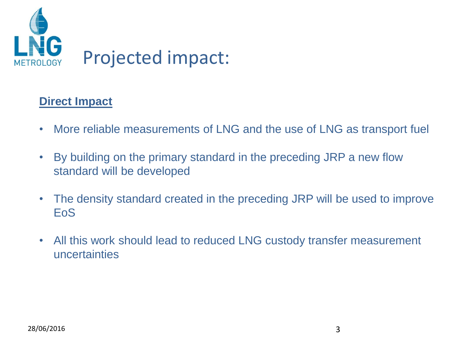

#### **Direct Impact**

- More reliable measurements of LNG and the use of LNG as transport fuel
- By building on the primary standard in the preceding JRP a new flow standard will be developed
- The density standard created in the preceding JRP will be used to improve EoS
- All this work should lead to reduced LNG custody transfer measurement uncertainties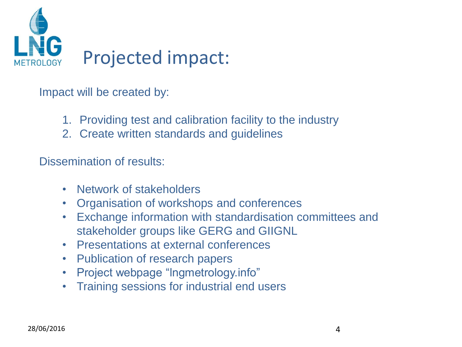

Impact will be created by:

- 1. Providing test and calibration facility to the industry
- 2. Create written standards and guidelines

Dissemination of results:

- Network of stakeholders
- Organisation of workshops and conferences
- Exchange information with standardisation committees and stakeholder groups like GERG and GIIGNL
- Presentations at external conferences
- Publication of research papers
- Project webpage "lngmetrology.info"
- Training sessions for industrial end users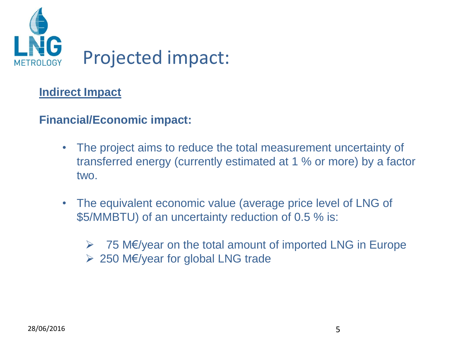

#### **Indirect Impact**

#### **Financial/Economic impact:**

- The project aims to reduce the total measurement uncertainty of transferred energy (currently estimated at 1 % or more) by a factor two.
- The equivalent economic value (average price level of LNG of \$5/MMBTU) of an uncertainty reduction of 0.5 % is:
	- 75 M€/year on the total amount of imported LNG in Europe 250 M€/year for global LNG trade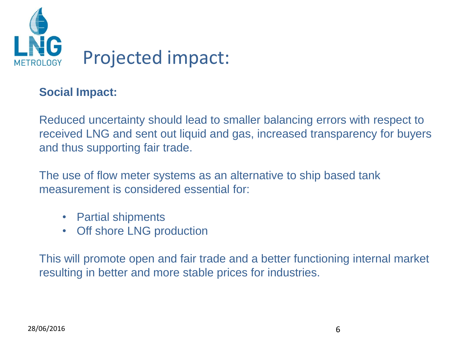

#### **Social Impact:**

Reduced uncertainty should lead to smaller balancing errors with respect to received LNG and sent out liquid and gas, increased transparency for buyers and thus supporting fair trade.

The use of flow meter systems as an alternative to ship based tank measurement is considered essential for:

- Partial shipments
- Off shore LNG production

This will promote open and fair trade and a better functioning internal market resulting in better and more stable prices for industries.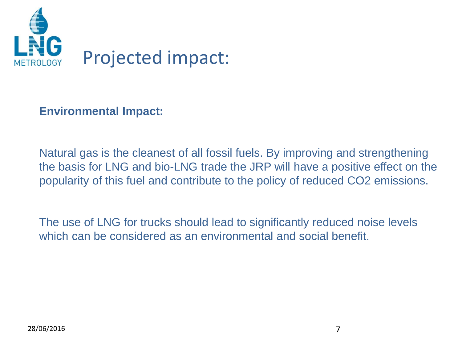

#### **Environmental Impact:**

Natural gas is the cleanest of all fossil fuels. By improving and strengthening the basis for LNG and bio-LNG trade the JRP will have a positive effect on the popularity of this fuel and contribute to the policy of reduced CO2 emissions.

The use of LNG for trucks should lead to significantly reduced noise levels which can be considered as an environmental and social benefit.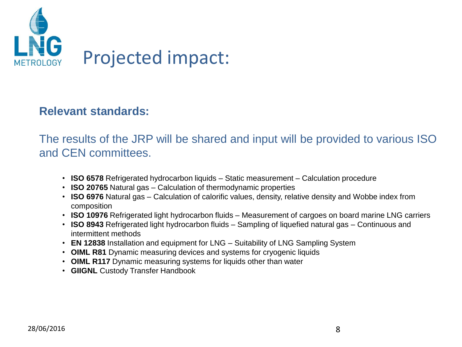

#### **Relevant standards:**

The results of the JRP will be shared and input will be provided to various ISO and CEN committees.

- **ISO 6578** Refrigerated hydrocarbon liquids Static measurement Calculation procedure
- **ISO 20765** Natural gas Calculation of thermodynamic properties
- **ISO 6976** Natural gas Calculation of calorific values, density, relative density and Wobbe index from composition
- **ISO 10976** Refrigerated light hydrocarbon fluids Measurement of cargoes on board marine LNG carriers
- **ISO 8943** Refrigerated light hydrocarbon fluids Sampling of liquefied natural gas Continuous and intermittent methods
- **EN 12838** Installation and equipment for LNG Suitability of LNG Sampling System
- **OIML R81** Dynamic measuring devices and systems for cryogenic liquids
- **OIML R117** Dynamic measuring systems for liquids other than water
- **GIIGNL** Custody Transfer Handbook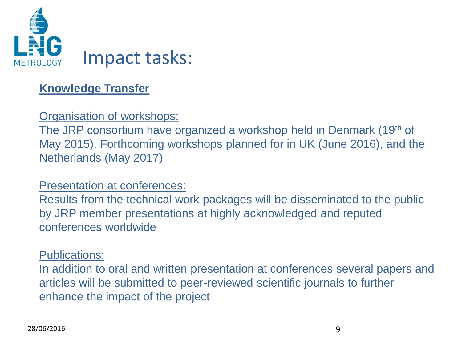

#### **Knowledge Transfer**

#### Organisation of workshops:

The JRP consortium have organized a workshop held in Denmark (19th of May 2015). Forthcoming workshops planned for in UK (June 2016), and the Netherlands (May 2017)

#### Presentation at conferences:

Results from the technical work packages will be disseminated to the public by JRP member presentations at highly acknowledged and reputed conferences worldwide

#### Publications:

In addition to oral and written presentation at conferences several papers and articles will be submitted to peer-reviewed scientific journals to further enhance the impact of the project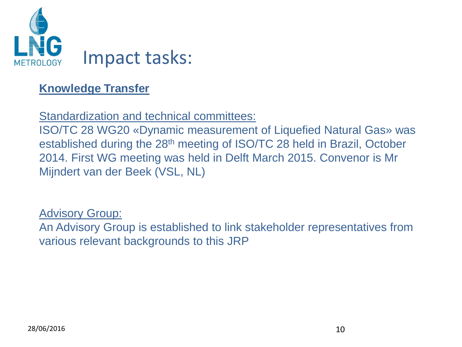

#### **Knowledge Transfer**

Standardization and technical committees:

ISO/TC 28 WG20 «Dynamic measurement of Liquefied Natural Gas» was established during the 28<sup>th</sup> meeting of ISO/TC 28 held in Brazil, October 2014. First WG meeting was held in Delft March 2015. Convenor is Mr Mijndert van der Beek (VSL, NL)

Advisory Group:

An Advisory Group is established to link stakeholder representatives from various relevant backgrounds to this JRP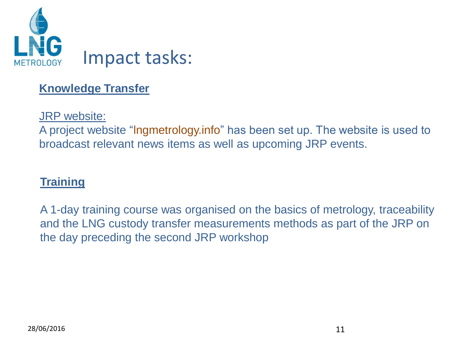

#### **Knowledge Transfer**

JRP website:

A project website "lngmetrology.info" has been set up. The website is used to broadcast relevant news items as well as upcoming JRP events.

#### **Training**

A 1-day training course was organised on the basics of metrology, traceability and the LNG custody transfer measurements methods as part of the JRP on the day preceding the second JRP workshop